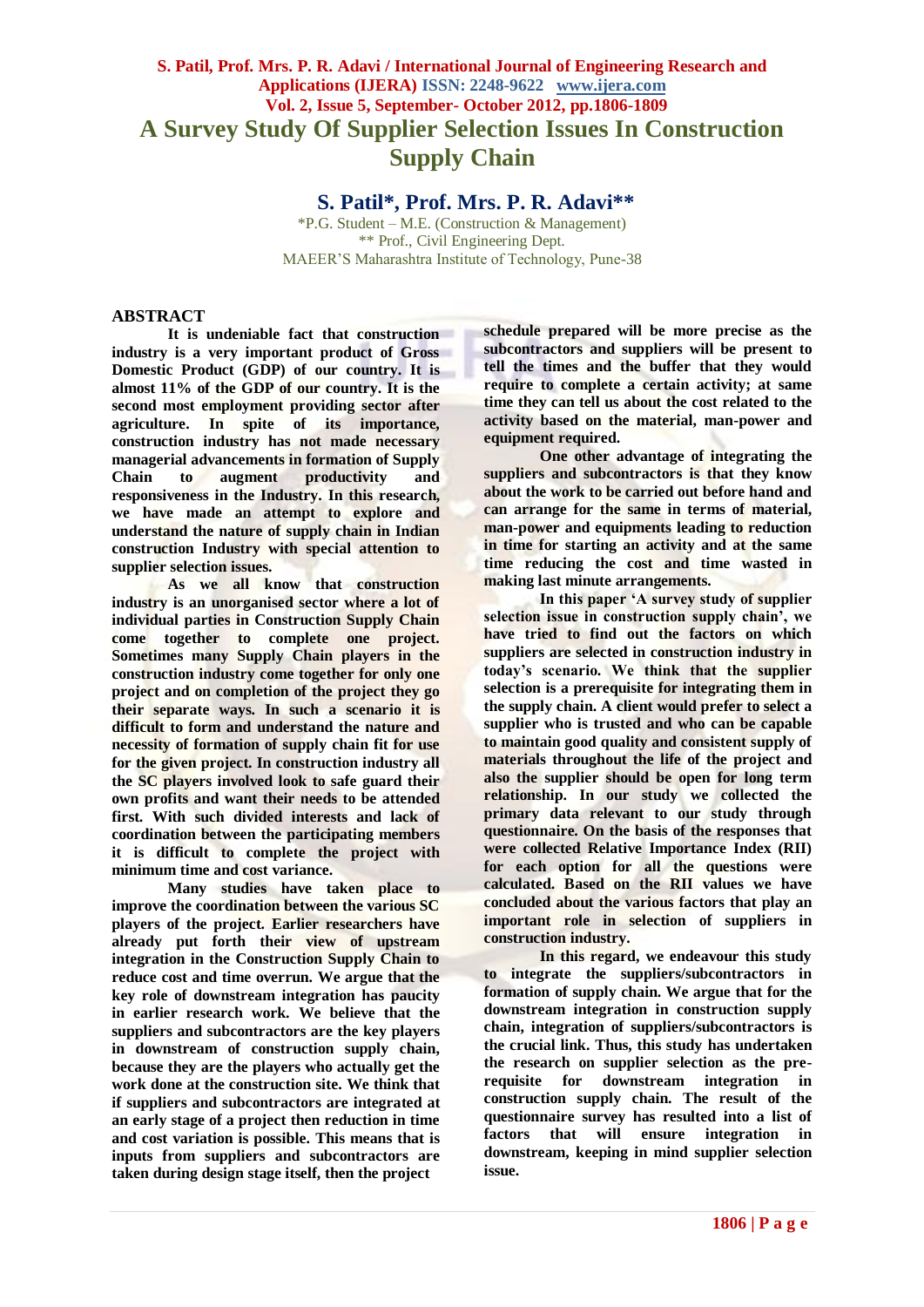# **S. Patil, Prof. Mrs. P. R. Adavi / International Journal of Engineering Research and Applications (IJERA) ISSN: 2248-9622 www.ijera.com Vol. 2, Issue 5, September- October 2012, pp.1806-1809 A Survey Study Of Supplier Selection Issues In Construction Supply Chain**

# **S. Patil\*, Prof. Mrs. P. R. Adavi\*\***

\*P.G. Student – M.E. (Construction & Management) \*\* Prof., Civil Engineering Dept. MAEER'S Maharashtra Institute of Technology, Pune-38

### **ABSTRACT**

**It is undeniable fact that construction industry is a very important product of Gross Domestic Product (GDP) of our country. It is almost 11% of the GDP of our country. It is the second most employment providing sector after agriculture. In spite of its importance, construction industry has not made necessary managerial advancements in formation of Supply Chain to augment productivity and responsiveness in the Industry. In this research, we have made an attempt to explore and understand the nature of supply chain in Indian construction Industry with special attention to supplier selection issues.**

**As we all know that construction industry is an unorganised sector where a lot of individual parties in Construction Supply Chain come together to complete one project. Sometimes many Supply Chain players in the construction industry come together for only one project and on completion of the project they go their separate ways. In such a scenario it is difficult to form and understand the nature and necessity of formation of supply chain fit for use for the given project. In construction industry all the SC players involved look to safe guard their own profits and want their needs to be attended first. With such divided interests and lack of coordination between the participating members it is difficult to complete the project with minimum time and cost variance.**

**Many studies have taken place to improve the coordination between the various SC players of the project. Earlier researchers have already put forth their view of upstream integration in the Construction Supply Chain to reduce cost and time overrun. We argue that the key role of downstream integration has paucity in earlier research work. We believe that the suppliers and subcontractors are the key players in downstream of construction supply chain, because they are the players who actually get the work done at the construction site. We think that if suppliers and subcontractors are integrated at an early stage of a project then reduction in time and cost variation is possible. This means that is inputs from suppliers and subcontractors are taken during design stage itself, then the project** 

**schedule prepared will be more precise as the subcontractors and suppliers will be present to tell the times and the buffer that they would require to complete a certain activity; at same time they can tell us about the cost related to the activity based on the material, man-power and equipment required.** 

**One other advantage of integrating the suppliers and subcontractors is that they know about the work to be carried out before hand and can arrange for the same in terms of material, man-power and equipments leading to reduction in time for starting an activity and at the same time reducing the cost and time wasted in making last minute arrangements.**

**In this paper 'A survey study of supplier selection issue in construction supply chain', we have tried to find out the factors on which suppliers are selected in construction industry in today's scenario. We think that the supplier selection is a prerequisite for integrating them in the supply chain. A client would prefer to select a supplier who is trusted and who can be capable to maintain good quality and consistent supply of materials throughout the life of the project and also the supplier should be open for long term relationship. In our study we collected the primary data relevant to our study through questionnaire. On the basis of the responses that were collected Relative Importance Index (RII) for each option for all the questions were calculated. Based on the RII values we have concluded about the various factors that play an important role in selection of suppliers in construction industry.**

**In this regard, we endeavour this study to integrate the suppliers/subcontractors in formation of supply chain. We argue that for the downstream integration in construction supply chain, integration of suppliers/subcontractors is the crucial link. Thus, this study has undertaken the research on supplier selection as the prerequisite for downstream integration construction supply chain. The result of the questionnaire survey has resulted into a list of factors that will ensure integration in downstream, keeping in mind supplier selection issue.**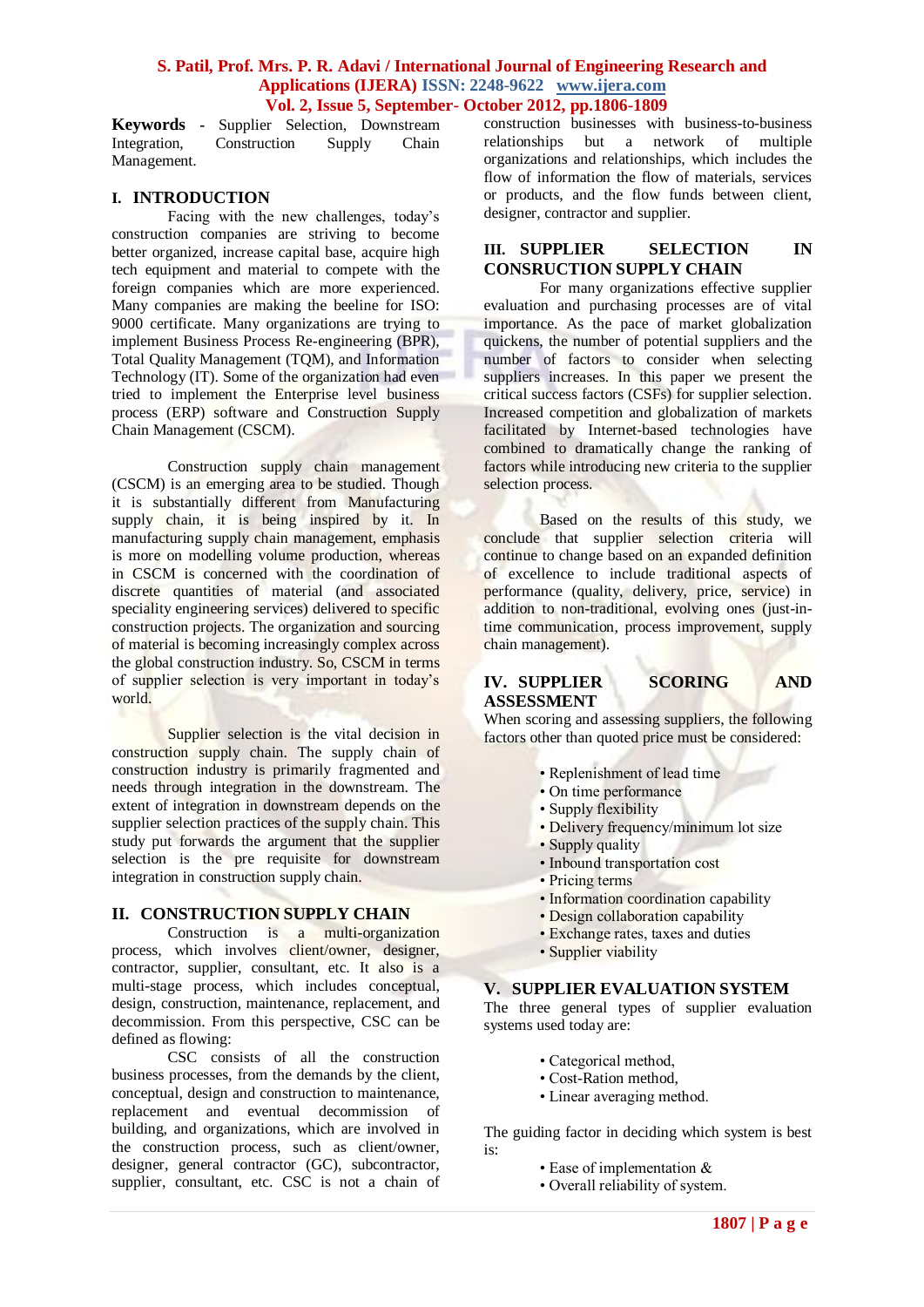## **S. Patil, Prof. Mrs. P. R. Adavi / International Journal of Engineering Research and Applications (IJERA) ISSN: 2248-9622 www.ijera.com Vol. 2, Issue 5, September- October 2012, pp.1806-1809**

**Keywords -** Supplier Selection, Downstream<br>Integration, Construction Supply Chain Construction Management.

#### **I. INTRODUCTION**

Facing with the new challenges, today's construction companies are striving to become better organized, increase capital base, acquire high tech equipment and material to compete with the foreign companies which are more experienced. Many companies are making the beeline for ISO: 9000 certificate. Many organizations are trying to implement Business Process Re-engineering (BPR), Total Quality Management (TQM), and Information Technology (IT). Some of the organization had even tried to implement the Enterprise level business process (ERP) software and Construction Supply Chain Management (CSCM).

Construction supply chain management (CSCM) is an emerging area to be studied. Though it is substantially different from Manufacturing supply chain, it is being inspired by it. In manufacturing supply chain management, emphasis is more on modelling volume production, whereas in CSCM is concerned with the coordination of discrete quantities of material (and associated speciality engineering services) delivered to specific construction projects. The organization and sourcing of material is becoming increasingly complex across the global construction industry. So, CSCM in terms of supplier selection is very important in today's world.

Supplier selection is the vital decision in construction supply chain. The supply chain of construction industry is primarily fragmented and needs through integration in the downstream. The extent of integration in downstream depends on the supplier selection practices of the supply chain. This study put forwards the argument that the supplier selection is the pre requisite for downstream integration in construction supply chain.

# **II. CONSTRUCTION SUPPLY CHAIN**

Construction is a multi-organization process, which involves client/owner, designer, contractor, supplier, consultant, etc. It also is a multi-stage process, which includes conceptual, design, construction, maintenance, replacement, and decommission. From this perspective, CSC can be defined as flowing:

CSC consists of all the construction business processes, from the demands by the client, conceptual, design and construction to maintenance, replacement and eventual decommission of building, and organizations, which are involved in the construction process, such as client/owner, designer, general contractor (GC), subcontractor, supplier, consultant, etc. CSC is not a chain of

construction businesses with business-to-business relationships but a network of multiple organizations and relationships, which includes the flow of information the flow of materials, services or products, and the flow funds between client, designer, contractor and supplier.

# **III. SUPPLIER SELECTION IN CONSRUCTION SUPPLY CHAIN**

For many organizations effective supplier evaluation and purchasing processes are of vital importance. As the pace of market globalization quickens, the number of potential suppliers and the number of factors to consider when selecting suppliers increases. In this paper we present the critical success factors (CSFs) for supplier selection. Increased competition and globalization of markets facilitated by Internet-based technologies have combined to dramatically change the ranking of factors while introducing new criteria to the supplier selection process.

Based on the results of this study, we conclude that supplier selection criteria will continue to change based on an expanded definition of excellence to include traditional aspects of performance (quality, delivery, price, service) in addition to non-traditional, evolving ones (just-intime communication, process improvement, supply chain management).

# **IV. SUPPLIER SCORING AND ASSESSMENT**

When scoring and assessing suppliers, the following factors other than quoted price must be considered:

- Replenishment of lead time
- On time performance
- Supply flexibility
- Delivery frequency/minimum lot size
- Supply quality
- Inbound transportation cost
- Pricing terms
- Information coordination capability
- Design collaboration capability
- Exchange rates, taxes and duties
- Supplier viability

#### **V. SUPPLIER EVALUATION SYSTEM**

The three general types of supplier evaluation systems used today are:

- Categorical method,
- Cost-Ration method,
- Linear averaging method.

The guiding factor in deciding which system is best is:

- Ease of implementation &
- Overall reliability of system.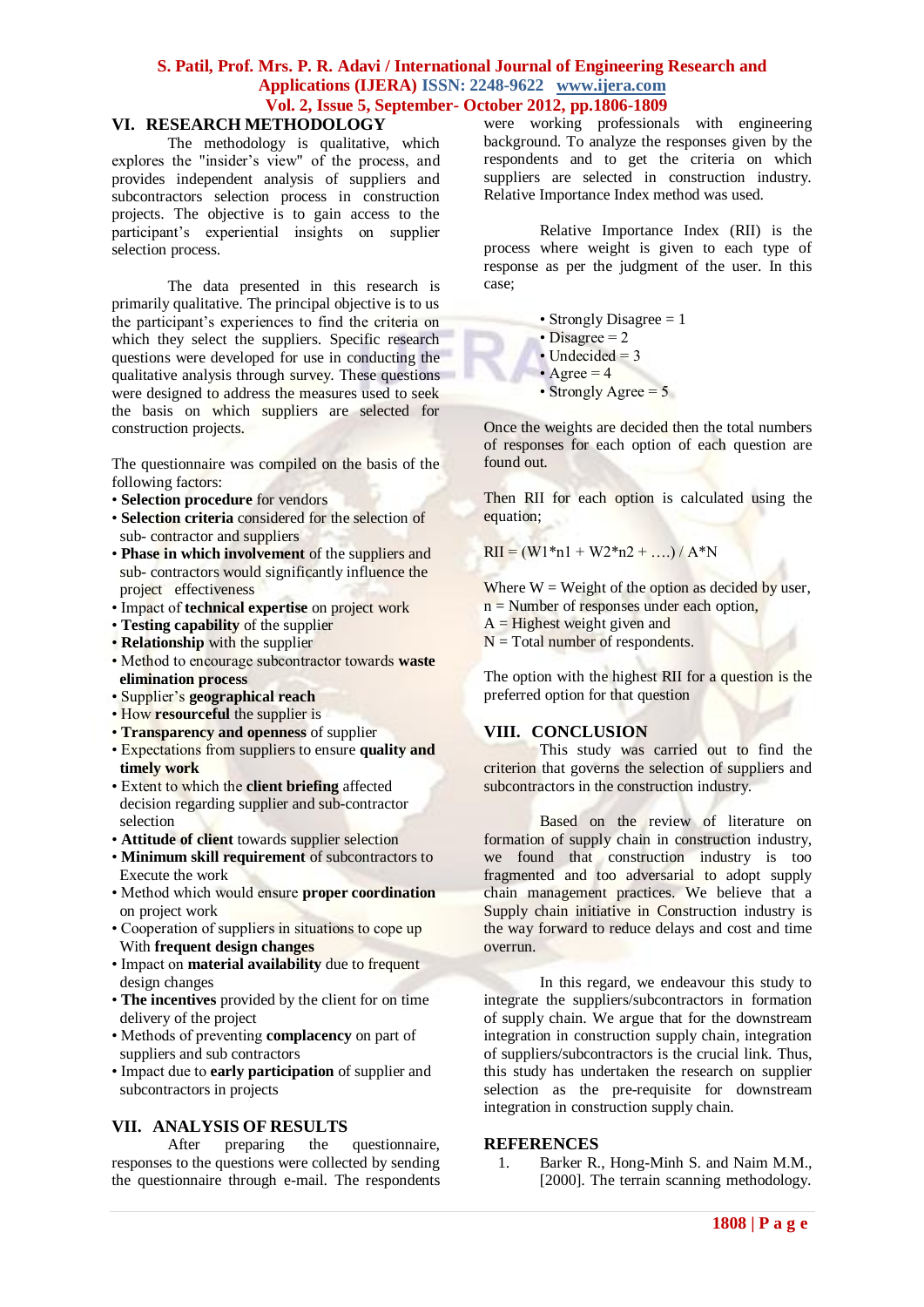# **S. Patil, Prof. Mrs. P. R. Adavi / International Journal of Engineering Research and Applications (IJERA) ISSN: 2248-9622 www.ijera.com Vol. 2, Issue 5, September- October 2012, pp.1806-1809**

# **VI. RESEARCH METHODOLOGY**

The methodology is qualitative, which explores the "insider's view" of the process, and provides independent analysis of suppliers and subcontractors selection process in construction projects. The objective is to gain access to the participant's experiential insights on supplier selection process.

The data presented in this research is primarily qualitative. The principal objective is to us the participant's experiences to find the criteria on which they select the suppliers. Specific research questions were developed for use in conducting the qualitative analysis through survey. These questions were designed to address the measures used to seek the basis on which suppliers are selected for construction projects.

The questionnaire was compiled on the basis of the following factors:

- **Selection procedure** for vendors
- **Selection criteria** considered for the selection of sub- contractor and suppliers
- **Phase in which involvement** of the suppliers and sub- contractors would significantly influence the project effectiveness
- Impact of **technical expertise** on project work
- **Testing capability** of the supplier
- **Relationship** with the supplier
- Method to encourage subcontractor towards **waste elimination process**
- Supplier's **geographical reach**
- How **resourceful** the supplier is
- **Transparency and openness** of supplier
- Expectations from suppliers to ensure **quality and timely work**
- Extent to which the **client briefing** affected decision regarding supplier and sub-contractor selection
- **Attitude of client** towards supplier selection
- **Minimum skill requirement** of subcontractors to Execute the work
- Method which would ensure **proper coordination** on project work
- Cooperation of suppliers in situations to cope up With **frequent design changes**
- Impact on **material availability** due to frequent design changes
- **The incentives** provided by the client for on time delivery of the project
- Methods of preventing **complacency** on part of suppliers and sub contractors
- Impact due to **early participation** of supplier and subcontractors in projects

**VII. ANALYSIS OF RESULTS** After preparing the responses to the questions were collected by sending the questionnaire through e-mail. The respondents were working professionals with engineering background. To analyze the responses given by the respondents and to get the criteria on which suppliers are selected in construction industry. Relative Importance Index method was used.

Relative Importance Index (RII) is the process where weight is given to each type of response as per the judgment of the user. In this case;

- Strongly Disagree  $= 1$
- Disagree  $= 2$
- Undecided  $= 3$
- Agree  $= 4$

• Strongly Agree  $= 5$ 

Once the weights are decided then the total numbers of responses for each option of each question are found out.

Then RII for each option is calculated using the equation;

 $RII = (W1*n1 + W2*n2 + ...)/A*N$ 

Where  $W =$  Weight of the option as decided by user.  $n =$  Number of responses under each option,

- $A =$  Highest weight given and
- $N = Total number of respondents.$

The option with the highest RII for a question is the preferred option for that question

# **VIII. CONCLUSION**

This study was carried out to find the criterion that governs the selection of suppliers and subcontractors in the construction industry.

Based on the review of literature on formation of supply chain in construction industry, we found that construction industry is too fragmented and too adversarial to adopt supply chain management practices. We believe that a Supply chain initiative in Construction industry is the way forward to reduce delays and cost and time overrun.

In this regard, we endeavour this study to integrate the suppliers/subcontractors in formation of supply chain. We argue that for the downstream integration in construction supply chain, integration of suppliers/subcontractors is the crucial link. Thus, this study has undertaken the research on supplier selection as the pre-requisite for downstream integration in construction supply chain.

#### **REFERENCES**

1. Barker R., Hong-Minh S. and Naim M.M., [2000]. The terrain scanning methodology.